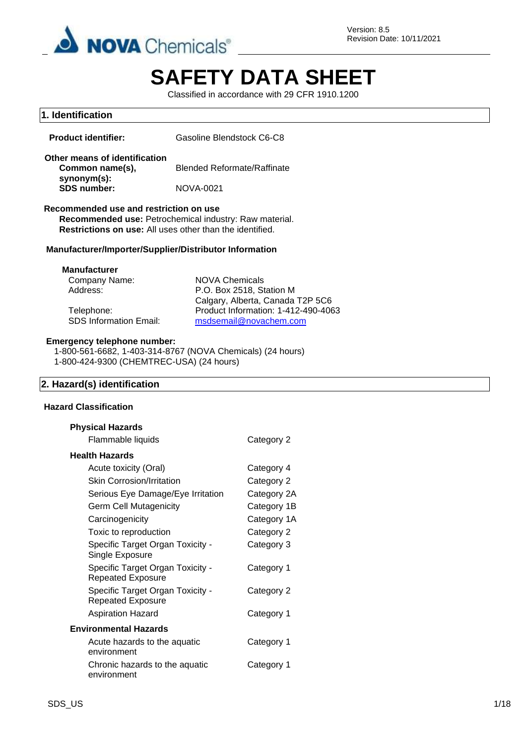

Version: 8.5 Revision Date: 10/11/2021

# **SAFETY DATA SHEET**

Classified in accordance with 29 CFR 1910.1200

# **1. Identification Product identifier:** Gasoline Blendstock C6-C8 **Other means of identification Common name(s), synonym(s):** Blended Reformate/Raffinate **SDS number:** NOVA-0021 **Recommended use and restriction on use Recommended use:** Petrochemical industry: Raw material. **Restrictions on use:** All uses other than the identified. **Manufacturer/Importer/Supplier/Distributor Information Manufacturer** Company Name: NOVA Chemicals Address: P.O. Box 2518, Station M Calgary, Alberta, Canada T2P 5C6 Telephone: Product Information: 1-412-490-4063 SDS Information Email: [msdsemail@novachem.com](mailto:msdsemail@novachem.com) **Emergency telephone number:** 1-800-561-6682, 1-403-314-8767 (NOVA Chemicals) (24 hours) 1-800-424-9300 (CHEMTREC-USA) (24 hours) **2. Hazard(s) identification Hazard Classification Physical Hazards** Flammable liquids Category 2 **Health Hazards** Acute toxicity (Oral) Category 4 Skin Corrosion/Irritation Category 2 Serious Eye Damage/Eye Irritation Category 2A Germ Cell Mutagenicity **Category 1B** Carcinogenicity Category 1A Toxic to reproduction Category 2 Specific Target Organ Toxicity - Single Exposure Category 3 Specific Target Organ Toxicity - Repeated Exposure Category 1 Specific Target Organ Toxicity - Repeated Exposure Category 2

Aspiration Hazard Category 1 **Environmental Hazards** Acute hazards to the aquatic environment Category 1 Chronic hazards to the aquatic environment Category 1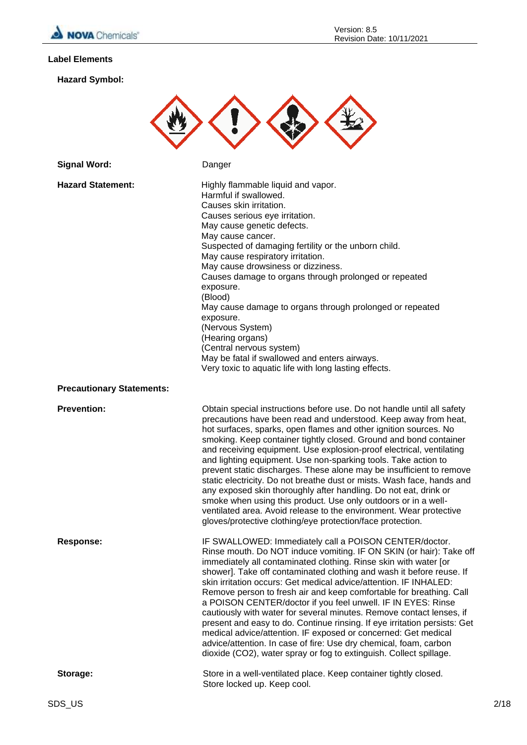

# **Label Elements**

**Hazard Symbol:**



| <b>Signal Word:</b>              | Danger                                                                                                                                                                                                                                                                                                                                                                                                                                                                                                                                                                                                                                                                                                                                                                                                                                                   |  |
|----------------------------------|----------------------------------------------------------------------------------------------------------------------------------------------------------------------------------------------------------------------------------------------------------------------------------------------------------------------------------------------------------------------------------------------------------------------------------------------------------------------------------------------------------------------------------------------------------------------------------------------------------------------------------------------------------------------------------------------------------------------------------------------------------------------------------------------------------------------------------------------------------|--|
| <b>Hazard Statement:</b>         | Highly flammable liquid and vapor.<br>Harmful if swallowed.<br>Causes skin irritation.<br>Causes serious eye irritation.<br>May cause genetic defects.<br>May cause cancer.<br>Suspected of damaging fertility or the unborn child.<br>May cause respiratory irritation.<br>May cause drowsiness or dizziness.<br>Causes damage to organs through prolonged or repeated<br>exposure.<br>(Blood)<br>May cause damage to organs through prolonged or repeated<br>exposure.<br>(Nervous System)<br>(Hearing organs)<br>(Central nervous system)<br>May be fatal if swallowed and enters airways.<br>Very toxic to aquatic life with long lasting effects.                                                                                                                                                                                                   |  |
| <b>Precautionary Statements:</b> |                                                                                                                                                                                                                                                                                                                                                                                                                                                                                                                                                                                                                                                                                                                                                                                                                                                          |  |
| <b>Prevention:</b>               | Obtain special instructions before use. Do not handle until all safety<br>precautions have been read and understood. Keep away from heat,<br>hot surfaces, sparks, open flames and other ignition sources. No<br>smoking. Keep container tightly closed. Ground and bond container<br>and receiving equipment. Use explosion-proof electrical, ventilating<br>and lighting equipment. Use non-sparking tools. Take action to<br>prevent static discharges. These alone may be insufficient to remove<br>static electricity. Do not breathe dust or mists. Wash face, hands and<br>any exposed skin thoroughly after handling. Do not eat, drink or<br>smoke when using this product. Use only outdoors or in a well-<br>ventilated area. Avoid release to the environment. Wear protective<br>gloves/protective clothing/eye protection/face protection. |  |
| Response:                        | IF SWALLOWED: Immediately call a POISON CENTER/doctor.<br>Rinse mouth. Do NOT induce vomiting. IF ON SKIN (or hair): Take off<br>immediately all contaminated clothing. Rinse skin with water [or<br>shower]. Take off contaminated clothing and wash it before reuse. If<br>skin irritation occurs: Get medical advice/attention. IF INHALED:<br>Remove person to fresh air and keep comfortable for breathing. Call<br>a POISON CENTER/doctor if you feel unwell. IF IN EYES: Rinse<br>cautiously with water for several minutes. Remove contact lenses, if<br>present and easy to do. Continue rinsing. If eye irritation persists: Get<br>medical advice/attention. IF exposed or concerned: Get medical<br>advice/attention. In case of fire: Use dry chemical, foam, carbon<br>dioxide (CO2), water spray or fog to extinguish. Collect spillage.  |  |
| Storage:                         | Store in a well-ventilated place. Keep container tightly closed.<br>Store locked up. Keep cool.                                                                                                                                                                                                                                                                                                                                                                                                                                                                                                                                                                                                                                                                                                                                                          |  |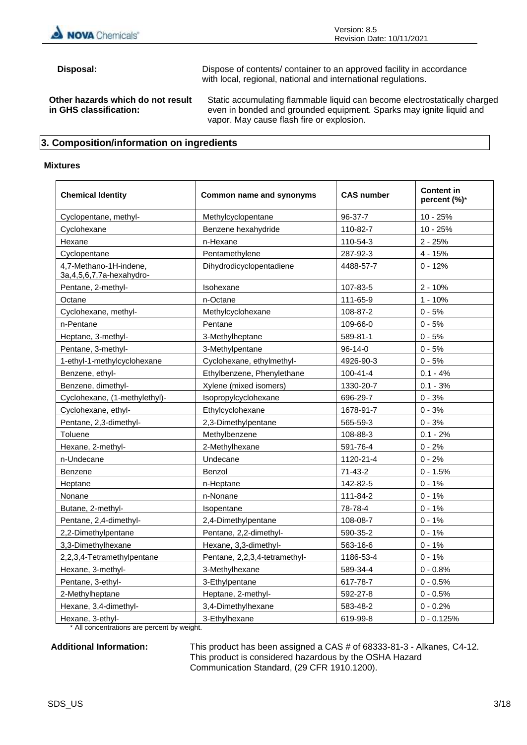

**Disposal:** Dispose of contents/ container to an approved facility in accordance with local, regional, national and international regulations. **Other hazards which do not result in GHS classification:** Static accumulating flammable liquid can become electrostatically charged even in bonded and grounded equipment. Sparks may ignite liquid and vapor. May cause flash fire or explosion.

# **3. Composition/information on ingredients**

#### **Mixtures**

| <b>Chemical Identity</b>                                 | Common name and synonyms      | <b>CAS number</b> | <b>Content in</b><br>percent (%)* |
|----------------------------------------------------------|-------------------------------|-------------------|-----------------------------------|
| Cyclopentane, methyl-                                    | Methylcyclopentane            | 96-37-7           | $10 - 25%$                        |
| Cyclohexane                                              | Benzene hexahydride           | 110-82-7          | $10 - 25%$                        |
| Hexane                                                   | n-Hexane                      | 110-54-3          | $2 - 25%$                         |
| Cyclopentane                                             | Pentamethylene                | 287-92-3          | $4 - 15%$                         |
| 4,7-Methano-1H-indene,<br>3a, 4, 5, 6, 7, 7a-hexa hydro- | Dihydrodicyclopentadiene      | 4488-57-7         | $0 - 12%$                         |
| Pentane, 2-methyl-                                       | Isohexane                     | 107-83-5          | $2 - 10%$                         |
| Octane                                                   | n-Octane                      | 111-65-9          | $1 - 10%$                         |
| Cyclohexane, methyl-                                     | Methylcyclohexane             | 108-87-2          | $0 - 5%$                          |
| n-Pentane                                                | Pentane                       | 109-66-0          | $0 - 5%$                          |
| Heptane, 3-methyl-                                       | 3-Methylheptane               | 589-81-1          | $0 - 5%$                          |
| Pentane, 3-methyl-                                       | 3-Methylpentane               | 96-14-0           | $0 - 5%$                          |
| 1-ethyl-1-methylcyclohexane                              | Cyclohexane, ethylmethyl-     | 4926-90-3         | $0 - 5%$                          |
| Benzene, ethyl-                                          | Ethylbenzene, Phenylethane    | $100 - 41 - 4$    | $0.1 - 4%$                        |
| Benzene, dimethyl-                                       | Xylene (mixed isomers)        | 1330-20-7         | $0.1 - 3%$                        |
| Cyclohexane, (1-methylethyl)-                            | Isopropylcyclohexane          | 696-29-7          | $0 - 3%$                          |
| Cyclohexane, ethyl-                                      | Ethylcyclohexane              | 1678-91-7         | $0 - 3%$                          |
| Pentane, 2,3-dimethyl-                                   | 2,3-Dimethylpentane           | 565-59-3          | $0 - 3%$                          |
| Toluene                                                  | Methylbenzene                 | 108-88-3          | $0.1 - 2%$                        |
| Hexane, 2-methyl-                                        | 2-Methylhexane                | 591-76-4          | $0 - 2%$                          |
| n-Undecane                                               | Undecane                      | 1120-21-4         | $0 - 2%$                          |
| Benzene                                                  | Benzol                        | $71 - 43 - 2$     | $0 - 1.5%$                        |
| Heptane                                                  | n-Heptane                     | 142-82-5          | $0 - 1%$                          |
| Nonane                                                   | n-Nonane                      | 111-84-2          | $0 - 1%$                          |
| Butane, 2-methyl-                                        | Isopentane                    | 78-78-4           | $0 - 1%$                          |
| Pentane, 2,4-dimethyl-                                   | 2,4-Dimethylpentane           | 108-08-7          | $0 - 1%$                          |
| 2,2-Dimethylpentane                                      | Pentane, 2,2-dimethyl-        | 590-35-2          | $0 - 1%$                          |
| 3,3-Dimethylhexane                                       | Hexane, 3,3-dimethyl-         | 563-16-6          | $0 - 1%$                          |
| 2,2,3,4-Tetramethylpentane                               | Pentane, 2,2,3,4-tetramethyl- | 1186-53-4         | $0 - 1%$                          |
| Hexane, 3-methyl-                                        | 3-Methylhexane                | 589-34-4          | $0 - 0.8%$                        |
| Pentane, 3-ethyl-                                        | 3-Ethylpentane                | 617-78-7          | $0 - 0.5%$                        |
| 2-Methylheptane                                          | Heptane, 2-methyl-            | 592-27-8          | $0 - 0.5%$                        |
| Hexane, 3,4-dimethyl-                                    | 3,4-Dimethylhexane            | 583-48-2          | $0 - 0.2%$                        |
| Hexane, 3-ethyl-                                         | 3-Ethylhexane                 | 619-99-8          | $0 - 0.125%$                      |

\* All concentrations are percent by weight.

**Additional Information:** This product has been assigned a CAS # of 68333-81-3 - Alkanes, C4-12. This product is considered hazardous by the OSHA Hazard Communication Standard, (29 CFR 1910.1200).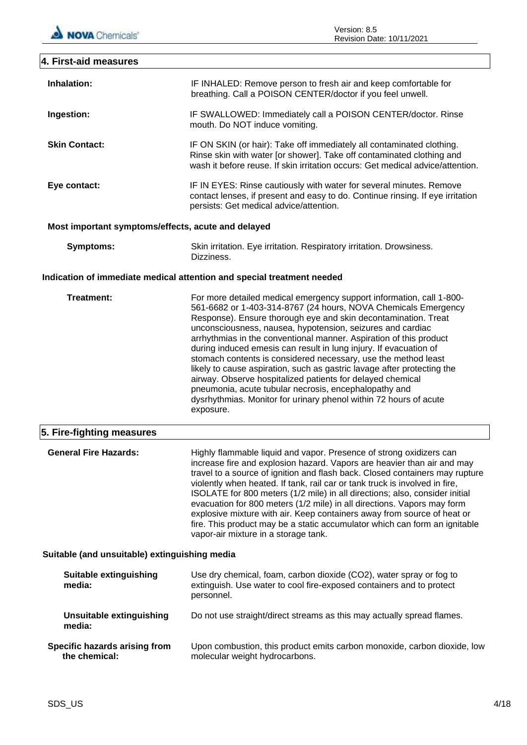| 4. First-aid measures                              |                                                                                                                                                                                                                                                                                                                                                                                                                                                                                                                                                                                                                                                                                                                                                                         |
|----------------------------------------------------|-------------------------------------------------------------------------------------------------------------------------------------------------------------------------------------------------------------------------------------------------------------------------------------------------------------------------------------------------------------------------------------------------------------------------------------------------------------------------------------------------------------------------------------------------------------------------------------------------------------------------------------------------------------------------------------------------------------------------------------------------------------------------|
| Inhalation:                                        | IF INHALED: Remove person to fresh air and keep comfortable for<br>breathing. Call a POISON CENTER/doctor if you feel unwell.                                                                                                                                                                                                                                                                                                                                                                                                                                                                                                                                                                                                                                           |
| Ingestion:                                         | IF SWALLOWED: Immediately call a POISON CENTER/doctor. Rinse<br>mouth. Do NOT induce vomiting.                                                                                                                                                                                                                                                                                                                                                                                                                                                                                                                                                                                                                                                                          |
| <b>Skin Contact:</b>                               | IF ON SKIN (or hair): Take off immediately all contaminated clothing.<br>Rinse skin with water [or shower]. Take off contaminated clothing and<br>wash it before reuse. If skin irritation occurs: Get medical advice/attention.                                                                                                                                                                                                                                                                                                                                                                                                                                                                                                                                        |
| Eye contact:                                       | IF IN EYES: Rinse cautiously with water for several minutes. Remove<br>contact lenses, if present and easy to do. Continue rinsing. If eye irritation<br>persists: Get medical advice/attention.                                                                                                                                                                                                                                                                                                                                                                                                                                                                                                                                                                        |
| Most important symptoms/effects, acute and delayed |                                                                                                                                                                                                                                                                                                                                                                                                                                                                                                                                                                                                                                                                                                                                                                         |
| <b>Symptoms:</b>                                   | Skin irritation. Eye irritation. Respiratory irritation. Drowsiness.<br>Dizziness.                                                                                                                                                                                                                                                                                                                                                                                                                                                                                                                                                                                                                                                                                      |
|                                                    | Indication of immediate medical attention and special treatment needed                                                                                                                                                                                                                                                                                                                                                                                                                                                                                                                                                                                                                                                                                                  |
| Treatment:                                         | For more detailed medical emergency support information, call 1-800-<br>561-6682 or 1-403-314-8767 (24 hours, NOVA Chemicals Emergency<br>Response). Ensure thorough eye and skin decontamination. Treat<br>unconsciousness, nausea, hypotension, seizures and cardiac<br>arrhythmias in the conventional manner. Aspiration of this product<br>during induced emesis can result in lung injury. If evacuation of<br>stomach contents is considered necessary, use the method least<br>likely to cause aspiration, such as gastric lavage after protecting the<br>airway. Observe hospitalized patients for delayed chemical<br>pneumonia, acute tubular necrosis, encephalopathy and<br>dysrhythmias. Monitor for urinary phenol within 72 hours of acute<br>exposure. |
| 5. Fire-fighting measures                          |                                                                                                                                                                                                                                                                                                                                                                                                                                                                                                                                                                                                                                                                                                                                                                         |
| <b>General Fire Hazards:</b>                       | Highly flammable liquid and vapor. Presence of strong oxidizers can<br>increase fire and explosion hazard. Vapors are heavier than air and may<br>travel to a source of ignition and flash back. Closed containers may rupture<br>violently when heated. If tank, rail car or tank truck is involved in fire,<br>ISOLATE for 800 meters (1/2 mile) in all directions; also, consider initial<br>evacuation for 800 meters (1/2 mile) in all directions. Vapors may form<br>explosive mixture with air. Keep containers away from source of heat or<br>fire. This product may be a static accumulator which can form an ignitable<br>vapor-air mixture in a storage tank.                                                                                                |
| Suitable (and unsuitable) extinguishing media      |                                                                                                                                                                                                                                                                                                                                                                                                                                                                                                                                                                                                                                                                                                                                                                         |
| <b>Suitable extinguishing</b><br>media:            | Use dry chemical, foam, carbon dioxide (CO2), water spray or fog to<br>extinguish. Use water to cool fire-exposed containers and to protect<br>personnel.                                                                                                                                                                                                                                                                                                                                                                                                                                                                                                                                                                                                               |
| <b>Unsuitable extinguishing</b><br>media:          | Do not use straight/direct streams as this may actually spread flames.                                                                                                                                                                                                                                                                                                                                                                                                                                                                                                                                                                                                                                                                                                  |
| Specific hazards arising from<br>the chemical:     | Upon combustion, this product emits carbon monoxide, carbon dioxide, low<br>molecular weight hydrocarbons.                                                                                                                                                                                                                                                                                                                                                                                                                                                                                                                                                                                                                                                              |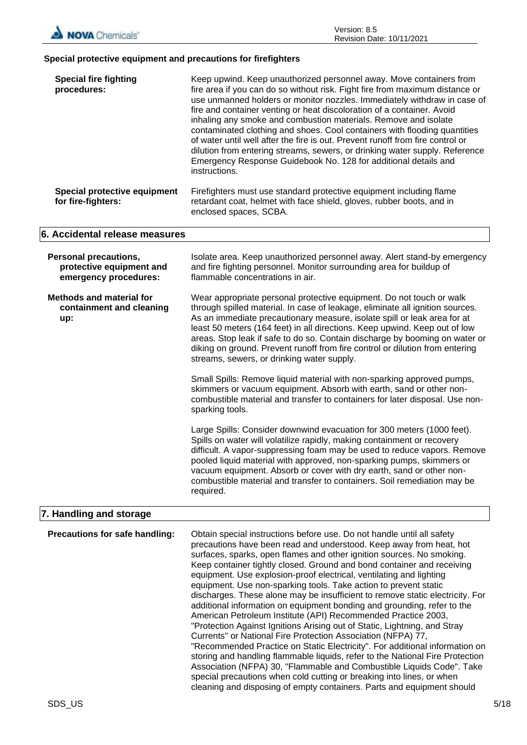

#### **Special protective equipment and precautions for firefighters**

| <b>Special fire fighting</b><br>procedures:                                       | Keep upwind. Keep unauthorized personnel away. Move containers from<br>fire area if you can do so without risk. Fight fire from maximum distance or<br>use unmanned holders or monitor nozzles. Immediately withdraw in case of<br>fire and container venting or heat discoloration of a container. Avoid<br>inhaling any smoke and combustion materials. Remove and isolate<br>contaminated clothing and shoes. Cool containers with flooding quantities<br>of water until well after the fire is out. Prevent runoff from fire control or<br>dilution from entering streams, sewers, or drinking water supply. Reference<br>Emergency Response Guidebook No. 128 for additional details and<br>instructions. |  |  |  |
|-----------------------------------------------------------------------------------|----------------------------------------------------------------------------------------------------------------------------------------------------------------------------------------------------------------------------------------------------------------------------------------------------------------------------------------------------------------------------------------------------------------------------------------------------------------------------------------------------------------------------------------------------------------------------------------------------------------------------------------------------------------------------------------------------------------|--|--|--|
| Special protective equipment<br>for fire-fighters:                                | Firefighters must use standard protective equipment including flame<br>retardant coat, helmet with face shield, gloves, rubber boots, and in<br>enclosed spaces, SCBA.                                                                                                                                                                                                                                                                                                                                                                                                                                                                                                                                         |  |  |  |
| 6. Accidental release measures                                                    |                                                                                                                                                                                                                                                                                                                                                                                                                                                                                                                                                                                                                                                                                                                |  |  |  |
| <b>Personal precautions,</b><br>protective equipment and<br>emergency procedures: | Isolate area. Keep unauthorized personnel away. Alert stand-by emergency<br>and fire fighting personnel. Monitor surrounding area for buildup of<br>flammable concentrations in air.                                                                                                                                                                                                                                                                                                                                                                                                                                                                                                                           |  |  |  |
| <b>Methods and material for</b><br>containment and cleaning<br>up:                | Wear appropriate personal protective equipment. Do not touch or walk<br>through spilled material. In case of leakage, eliminate all ignition sources.<br>As an immediate precautionary measure, isolate spill or leak area for at<br>least 50 meters (164 feet) in all directions. Keep upwind. Keep out of low<br>areas. Stop leak if safe to do so. Contain discharge by booming on water or<br>diking on ground. Prevent runoff from fire control or dilution from entering<br>streams, sewers, or drinking water supply.                                                                                                                                                                                   |  |  |  |
|                                                                                   | Small Spills: Remove liquid material with non-sparking approved pumps,<br>skimmers or vacuum equipment. Absorb with earth, sand or other non-<br>combustible material and transfer to containers for later disposal. Use non-<br>sparking tools.                                                                                                                                                                                                                                                                                                                                                                                                                                                               |  |  |  |
|                                                                                   | Large Spills: Consider downwind evacuation for 300 meters (1000 feet).<br>Spills on water will volatilize rapidly, making containment or recovery<br>difficult. A vapor-suppressing foam may be used to reduce vapors. Remove<br>pooled liquid material with approved, non-sparking pumps, skimmers or<br>vacuum equipment. Absorb or cover with dry earth, sand or other non-<br>combustible material and transfer to containers. Soil remediation may be<br>required.                                                                                                                                                                                                                                        |  |  |  |
| 7. Handling and storage                                                           |                                                                                                                                                                                                                                                                                                                                                                                                                                                                                                                                                                                                                                                                                                                |  |  |  |
| Precautions for safe handling:                                                    | Obtain special instructions before use. Do not handle until all safety<br>precautions have been read and understood. Keep away from heat, hot<br>surfaces, sparks, open flames and other ignition sources. No smoking.<br>Keep container tightly closed. Ground and bond container and receiving<br>equipment. Use explosion-proof electrical, ventilating and lighting<br>equipment. Use non-sparking tools. Take action to prevent static<br>discharges. These alone may be insufficient to remove static electricity. For                                                                                                                                                                                   |  |  |  |

additional information on equipment bonding and grounding, refer to the American Petroleum Institute (API) Recommended Practice 2003, "Protection Against Ignitions Arising out of Static, Lightning, and Stray

"Recommended Practice on Static Electricity". For additional information on storing and handling flammable liquids, refer to the National Fire Protection Association (NFPA) 30, "Flammable and Combustible Liquids Code". Take special precautions when cold cutting or breaking into lines, or when cleaning and disposing of empty containers. Parts and equipment should

Currents" or National Fire Protection Association (NFPA) 77,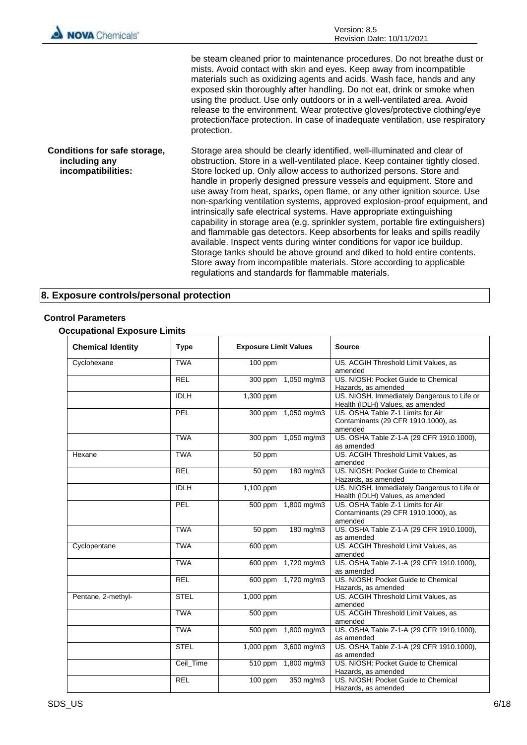| <b>NOVA</b> Chemicals'                                              | Version: 8.5<br>Revision Date: 10/11/2021                                                                                                                                                                                                                                                                                                                                                                                                                                                                                                                                                                                                                                                                                                                                                                                                                                                                                                                                                          |  |  |
|---------------------------------------------------------------------|----------------------------------------------------------------------------------------------------------------------------------------------------------------------------------------------------------------------------------------------------------------------------------------------------------------------------------------------------------------------------------------------------------------------------------------------------------------------------------------------------------------------------------------------------------------------------------------------------------------------------------------------------------------------------------------------------------------------------------------------------------------------------------------------------------------------------------------------------------------------------------------------------------------------------------------------------------------------------------------------------|--|--|
|                                                                     | be steam cleaned prior to maintenance procedures. Do not breathe dust or<br>mists. Avoid contact with skin and eyes. Keep away from incompatible<br>materials such as oxidizing agents and acids. Wash face, hands and any<br>exposed skin thoroughly after handling. Do not eat, drink or smoke when<br>using the product. Use only outdoors or in a well-ventilated area. Avoid<br>release to the environment. Wear protective gloves/protective clothing/eye<br>protection/face protection. In case of inadequate ventilation, use respiratory<br>protection.                                                                                                                                                                                                                                                                                                                                                                                                                                   |  |  |
| Conditions for safe storage,<br>including any<br>incompatibilities: | Storage area should be clearly identified, well-illuminated and clear of<br>obstruction. Store in a well-ventilated place. Keep container tightly closed.<br>Store locked up. Only allow access to authorized persons. Store and<br>handle in properly designed pressure vessels and equipment. Store and<br>use away from heat, sparks, open flame, or any other ignition source. Use<br>non-sparking ventilation systems, approved explosion-proof equipment, and<br>intrinsically safe electrical systems. Have appropriate extinguishing<br>capability in storage area (e.g. sprinkler system, portable fire extinguishers)<br>and flammable gas detectors. Keep absorbents for leaks and spills readily<br>available. Inspect vents during winter conditions for vapor ice buildup.<br>Storage tanks should be above ground and diked to hold entire contents.<br>Store away from incompatible materials. Store according to applicable<br>regulations and standards for flammable materials. |  |  |

# **8. Exposure controls/personal protection**

# **Control Parameters**

# **Occupational Exposure Limits**

| <b>Chemical Identity</b> | <b>Type</b> | <b>Exposure Limit Values</b> |                       | <b>Source</b>                                                                       |
|--------------------------|-------------|------------------------------|-----------------------|-------------------------------------------------------------------------------------|
| Cyclohexane              | <b>TWA</b>  | 100 ppm                      |                       | US. ACGIH Threshold Limit Values, as<br>amended                                     |
|                          | <b>REL</b>  |                              | 300 ppm 1,050 mg/m3   | US. NIOSH: Pocket Guide to Chemical<br>Hazards, as amended                          |
|                          | <b>IDLH</b> | 1,300 ppm                    |                       | US. NIOSH. Immediately Dangerous to Life or<br>Health (IDLH) Values, as amended     |
|                          | PEL         | 300 ppm 1,050 mg/m3          |                       | US. OSHA Table Z-1 Limits for Air<br>Contaminants (29 CFR 1910.1000), as<br>amended |
|                          | <b>TWA</b>  |                              | 300 ppm 1,050 mg/m3   | US. OSHA Table Z-1-A (29 CFR 1910.1000),<br>as amended                              |
| Hexane                   | <b>TWA</b>  | 50 ppm                       |                       | US. ACGIH Threshold Limit Values, as<br>amended                                     |
|                          | <b>REL</b>  | 50 ppm                       | $180$ mg/m3           | US. NIOSH: Pocket Guide to Chemical<br>Hazards, as amended                          |
|                          | <b>IDLH</b> | 1,100 ppm                    |                       | US. NIOSH. Immediately Dangerous to Life or<br>Health (IDLH) Values, as amended     |
|                          | PEL         | 500 ppm                      | $1,800$ mg/m3         | US. OSHA Table Z-1 Limits for Air<br>Contaminants (29 CFR 1910.1000), as<br>amended |
|                          | <b>TWA</b>  | 50 ppm                       | $180$ mg/m3           | US. OSHA Table Z-1-A (29 CFR 1910.1000),<br>as amended                              |
| Cyclopentane             | <b>TWA</b>  | 600 ppm                      |                       | US. ACGIH Threshold Limit Values, as<br>amended                                     |
|                          | <b>TWA</b>  | 600 ppm                      | 1,720 mg/m3           | US. OSHA Table Z-1-A (29 CFR 1910.1000),<br>as amended                              |
|                          | <b>REL</b>  |                              | 600 ppm 1,720 mg/m3   | US. NIOSH: Pocket Guide to Chemical<br>Hazards, as amended                          |
| Pentane, 2-methyl-       | <b>STEL</b> | 1,000 ppm                    |                       | US. ACGIH Threshold Limit Values, as<br>amended                                     |
|                          | <b>TWA</b>  | 500 ppm                      |                       | US. ACGIH Threshold Limit Values, as<br>amended                                     |
|                          | <b>TWA</b>  |                              | 500 ppm 1,800 mg/m3   | US. OSHA Table Z-1-A (29 CFR 1910.1000),<br>as amended                              |
|                          | <b>STEL</b> |                              | 1,000 ppm 3,600 mg/m3 | US. OSHA Table Z-1-A (29 CFR 1910.1000),<br>as amended                              |
|                          | Ceil Time   |                              | 510 ppm 1,800 mg/m3   | US. NIOSH: Pocket Guide to Chemical<br>Hazards, as amended                          |
|                          | <b>REL</b>  | 100 ppm                      | 350 mg/m3             | US. NIOSH: Pocket Guide to Chemical<br>Hazards, as amended                          |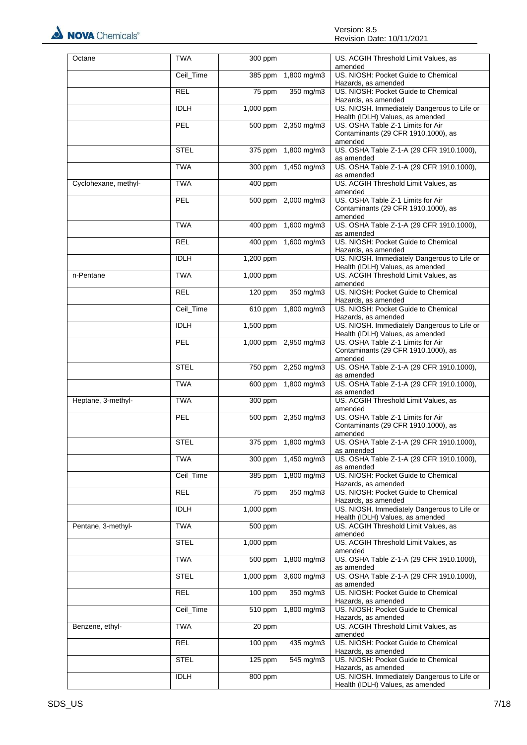

| Octane               | <b>TWA</b>  | 300 ppm                  | US. ACGIH Threshold Limit Values, as<br>amended                                     |  |
|----------------------|-------------|--------------------------|-------------------------------------------------------------------------------------|--|
|                      | Ceil_Time   | 1,800 mg/m3<br>385 ppm   | US. NIOSH: Pocket Guide to Chemical<br>Hazards, as amended                          |  |
|                      | <b>REL</b>  | 75 ppm<br>350 mg/m3      | US. NIOSH: Pocket Guide to Chemical<br>Hazards, as amended                          |  |
|                      | <b>IDLH</b> | 1,000 ppm                | US. NIOSH. Immediately Dangerous to Life or<br>Health (IDLH) Values, as amended     |  |
|                      | PEL         | 500 ppm 2,350 mg/m3      | US. OSHA Table Z-1 Limits for Air                                                   |  |
|                      |             |                          | Contaminants (29 CFR 1910.1000), as<br>amended                                      |  |
|                      | <b>STEL</b> | 375 ppm 1,800 mg/m3      | US. OSHA Table Z-1-A (29 CFR 1910.1000),<br>as amended                              |  |
|                      | <b>TWA</b>  | 300 ppm 1,450 mg/m3      | US. OSHA Table Z-1-A (29 CFR 1910.1000),<br>as amended                              |  |
| Cyclohexane, methyl- | <b>TWA</b>  | 400 ppm                  | US. ACGIH Threshold Limit Values, as<br>amended                                     |  |
|                      | PEL         | 500 ppm 2,000 mg/m3      | US. OSHA Table Z-1 Limits for Air<br>Contaminants (29 CFR 1910.1000), as<br>amended |  |
|                      | <b>TWA</b>  | 400 ppm 1,600 mg/m3      | US. OSHA Table Z-1-A (29 CFR 1910.1000),<br>as amended                              |  |
|                      | <b>REL</b>  | 400 ppm 1,600 mg/m3      | US. NIOSH: Pocket Guide to Chemical<br>Hazards, as amended                          |  |
|                      | <b>IDLH</b> | 1,200 ppm                | US. NIOSH. Immediately Dangerous to Life or<br>Health (IDLH) Values, as amended     |  |
| n-Pentane            | <b>TWA</b>  | 1,000 ppm                | US. ACGIH Threshold Limit Values, as<br>amended                                     |  |
|                      | <b>REL</b>  | 120 ppm<br>350 mg/m3     | US. NIOSH: Pocket Guide to Chemical<br>Hazards, as amended                          |  |
|                      | Ceil_Time   | 1,800 mg/m3<br>610 ppm   | US. NIOSH: Pocket Guide to Chemical<br>Hazards, as amended                          |  |
|                      | <b>IDLH</b> | 1,500 ppm                | US. NIOSH. Immediately Dangerous to Life or<br>Health (IDLH) Values, as amended     |  |
|                      | PEL         | 1,000 ppm 2,950 mg/m3    | US. OSHA Table Z-1 Limits for Air<br>Contaminants (29 CFR 1910.1000), as<br>amended |  |
|                      | <b>STEL</b> | 750 ppm 2,250 mg/m3      | US. OSHA Table Z-1-A (29 CFR 1910.1000),<br>as amended                              |  |
|                      | <b>TWA</b>  | 600 ppm 1,800 mg/m3      | US. OSHA Table Z-1-A (29 CFR 1910.1000),<br>as amended                              |  |
| Heptane, 3-methyl-   | <b>TWA</b>  | 300 ppm                  | US. ACGIH Threshold Limit Values, as<br>amended                                     |  |
|                      | PEL         | 500 ppm 2,350 mg/m3      | US. OSHA Table Z-1 Limits for Air<br>Contaminants (29 CFR 1910.1000), as<br>amended |  |
|                      | <b>STEL</b> | 375 ppm 1,800 mg/m3      | US. OSHA Table Z-1-A (29 CFR 1910.1000),<br>as amended                              |  |
|                      | <b>TWA</b>  | 300 ppm 1,450 mg/m3      | US. OSHA Table Z-1-A (29 CFR 1910.1000),<br>as amended                              |  |
|                      | Ceil_Time   | 385 ppm 1,800 mg/m3      | US. NIOSH: Pocket Guide to Chemical<br>Hazards, as amended                          |  |
|                      | <b>REL</b>  | 350 mg/m3<br>75 ppm      | US. NIOSH: Pocket Guide to Chemical<br>Hazards, as amended                          |  |
|                      | <b>IDLH</b> | 1,000 ppm                | US. NIOSH. Immediately Dangerous to Life or<br>Health (IDLH) Values, as amended     |  |
| Pentane, 3-methyl-   | <b>TWA</b>  | 500 ppm                  | US. ACGIH Threshold Limit Values, as<br>amended                                     |  |
|                      | <b>STEL</b> | 1,000 ppm                | US. ACGIH Threshold Limit Values, as<br>amended                                     |  |
|                      | <b>TWA</b>  | 500 ppm<br>1,800 mg/m3   | US. OSHA Table Z-1-A (29 CFR 1910.1000),<br>as amended                              |  |
|                      | <b>STEL</b> | 3,600 mg/m3<br>1,000 ppm | US. OSHA Table Z-1-A (29 CFR 1910.1000),<br>as amended                              |  |
|                      | <b>REL</b>  | 350 mg/m3<br>100 ppm     | US. NIOSH: Pocket Guide to Chemical<br>Hazards, as amended                          |  |
|                      | Ceil_Time   | 1,800 mg/m3<br>510 ppm   | US. NIOSH: Pocket Guide to Chemical<br>Hazards, as amended                          |  |
| Benzene, ethyl-      | <b>TWA</b>  | 20 ppm                   | US. ACGIH Threshold Limit Values, as<br>amended                                     |  |
|                      | REL         | 100 ppm<br>435 mg/m3     | US. NIOSH: Pocket Guide to Chemical<br>Hazards, as amended                          |  |
|                      | <b>STEL</b> | $125$ ppm<br>545 mg/m3   | US. NIOSH: Pocket Guide to Chemical<br>Hazards, as amended                          |  |
|                      | <b>IDLH</b> | 800 ppm                  | US. NIOSH. Immediately Dangerous to Life or<br>Health (IDLH) Values, as amended     |  |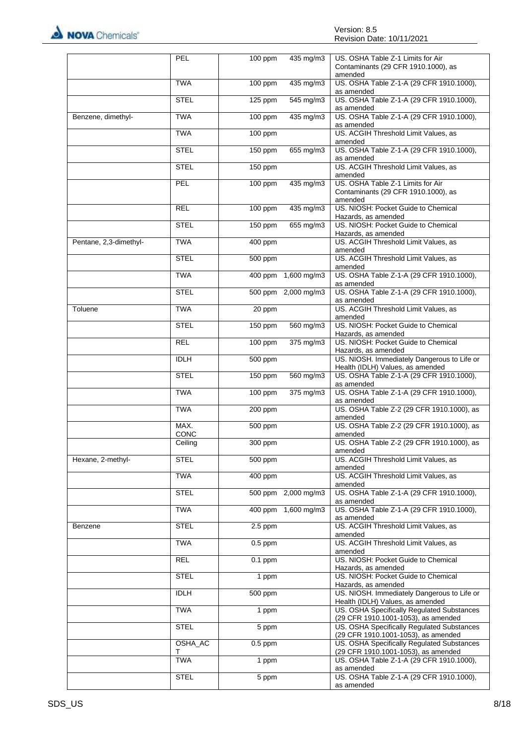

|                        | PEL                   | 100 ppm              | 435 mg/m3           | US. OSHA Table Z-1 Limits for Air                                                   |
|------------------------|-----------------------|----------------------|---------------------|-------------------------------------------------------------------------------------|
|                        |                       |                      |                     | Contaminants (29 CFR 1910.1000), as<br>amended                                      |
|                        | <b>TWA</b>            | $100$ ppm            | 435 mg/m3           | US. OSHA Table Z-1-A (29 CFR 1910.1000),<br>as amended                              |
|                        | <b>STEL</b>           | 125 ppm              | 545 mg/m3           | US. OSHA Table Z-1-A (29 CFR 1910.1000),<br>as amended                              |
| Benzene, dimethyl-     | <b>TWA</b>            | 100 ppm              | 435 mg/m3           | US. OSHA Table Z-1-A (29 CFR 1910.1000),<br>as amended                              |
|                        | <b>TWA</b>            | 100 ppm              |                     | US. ACGIH Threshold Limit Values, as<br>amended                                     |
|                        | <b>STEL</b>           | $150$ ppm            | 655 mg/m3           | US. OSHA Table Z-1-A (29 CFR 1910.1000),<br>as amended                              |
|                        | <b>STEL</b>           | 150 ppm              |                     | US. ACGIH Threshold Limit Values, as<br>amended                                     |
|                        | PEL                   | 100 ppm              | 435 mg/m3           | US. OSHA Table Z-1 Limits for Air<br>Contaminants (29 CFR 1910.1000), as<br>amended |
|                        | <b>REL</b>            | $100$ ppm            | $435$ mg/m3         | US. NIOSH: Pocket Guide to Chemical<br>Hazards, as amended                          |
|                        | <b>STEL</b>           | 150 ppm              | 655 mg/m3           | US. NIOSH: Pocket Guide to Chemical<br>Hazards, as amended                          |
| Pentane, 2,3-dimethyl- | <b>TWA</b>            | 400 ppm              |                     | US. ACGIH Threshold Limit Values, as<br>amended                                     |
|                        | <b>STEL</b>           | 500 ppm              |                     | US. ACGIH Threshold Limit Values, as<br>amended                                     |
|                        | <b>TWA</b>            |                      | 400 ppm 1,600 mg/m3 | US. OSHA Table Z-1-A (29 CFR 1910.1000),<br>as amended                              |
|                        | <b>STEL</b>           |                      | 500 ppm 2.000 mg/m3 | US. OSHA Table Z-1-A (29 CFR 1910.1000),<br>as amended                              |
| Toluene                | <b>TWA</b>            | 20 ppm               |                     | US. ACGIH Threshold Limit Values, as<br>amended                                     |
|                        | <b>STEL</b>           | 150 ppm              | 560 mg/m3           | US. NIOSH: Pocket Guide to Chemical<br>Hazards, as amended                          |
|                        | <b>REL</b>            | 100 ppm              | 375 mg/m3           | US. NIOSH: Pocket Guide to Chemical<br>Hazards, as amended                          |
|                        | <b>IDLH</b>           | 500 ppm              |                     | US. NIOSH. Immediately Dangerous to Life or<br>Health (IDLH) Values, as amended     |
|                        | <b>STEL</b>           | 150 ppm              | $560$ mg/m3         | US. OSHA Table Z-1-A (29 CFR 1910.1000),<br>as amended                              |
|                        | <b>TWA</b>            | 100 ppm              | 375 mg/m3           | US. OSHA Table Z-1-A (29 CFR 1910.1000),<br>as amended                              |
|                        | <b>TWA</b>            | 200 ppm              |                     | US. OSHA Table Z-2 (29 CFR 1910.1000), as<br>amended                                |
|                        | MAX.<br><b>CONC</b>   | 500 ppm              |                     | US. OSHA Table Z-2 (29 CFR 1910.1000), as<br>amended                                |
|                        | $\overline{C}$ eiling | 300 ppm              |                     | US. OSHA Table Z-2 (29 CFR 1910.1000), as<br>amended                                |
| Hexane, 2-methyl-      | <b>STEL</b>           | 500 ppm              |                     | US. ACGIH Threshold Limit Values, as<br>amended                                     |
|                        | <b>TWA</b>            | 400 ppm              |                     | US. ACGIH Threshold Limit Values, as<br>amended                                     |
|                        | <b>STEL</b>           |                      | 500 ppm 2,000 mg/m3 | US. OSHA Table Z-1-A (29 CFR 1910.1000),<br>as amended                              |
|                        | <b>TWA</b>            |                      | 400 ppm 1,600 mg/m3 | US. OSHA Table Z-1-A (29 CFR 1910.1000),<br>as amended                              |
| Benzene                | <b>STEL</b>           | $2.5$ ppm            |                     | US. ACGIH Threshold Limit Values, as<br>amended                                     |
|                        | <b>TWA</b>            | $0.5$ ppm            |                     | US. ACGIH Threshold Limit Values, as<br>amended                                     |
|                        | <b>REL</b>            | $\overline{0.1}$ ppm |                     | US. NIOSH: Pocket Guide to Chemical<br>Hazards, as amended                          |
|                        | <b>STEL</b>           | 1 ppm                |                     | US. NIOSH: Pocket Guide to Chemical<br>Hazards, as amended                          |
|                        | <b>IDLH</b>           | 500 ppm              |                     | US. NIOSH. Immediately Dangerous to Life or<br>Health (IDLH) Values, as amended     |
|                        | <b>TWA</b>            | 1 ppm                |                     | US. OSHA Specifically Regulated Substances<br>(29 CFR 1910.1001-1053), as amended   |
|                        | <b>STEL</b>           | 5 ppm                |                     | US. OSHA Specifically Regulated Substances<br>(29 CFR 1910.1001-1053), as amended   |
|                        | OSHA_AC<br>т          | $0.5$ ppm            |                     | US. OSHA Specifically Regulated Substances<br>(29 CFR 1910.1001-1053), as amended   |
|                        | <b>TWA</b>            | 1 ppm                |                     | US. OSHA Table Z-1-A (29 CFR 1910.1000),<br>as amended                              |
|                        | <b>STEL</b>           | 5 ppm                |                     | US. OSHA Table Z-1-A (29 CFR 1910.1000),<br>as amended                              |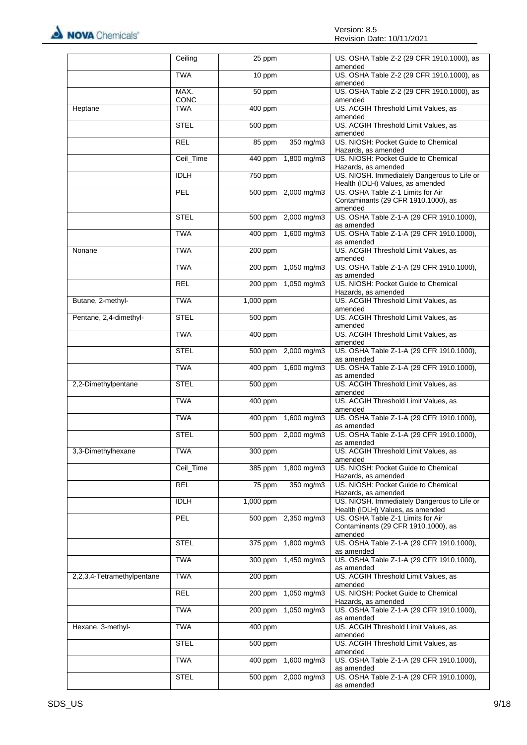

|                            | Ceiling      | 25 ppm                 | US. OSHA Table Z-2 (29 CFR 1910.1000), as<br>amended                                |
|----------------------------|--------------|------------------------|-------------------------------------------------------------------------------------|
|                            | <b>TWA</b>   | 10 ppm                 | US. OSHA Table Z-2 (29 CFR 1910.1000), as<br>amended                                |
|                            | MAX.<br>CONC | 50 ppm                 | US. OSHA Table Z-2 (29 CFR 1910.1000), as<br>amended                                |
| Heptane                    | <b>TWA</b>   | 400 ppm                | US. ACGIH Threshold Limit Values, as<br>amended                                     |
|                            | <b>STEL</b>  | 500 ppm                | US. ACGIH Threshold Limit Values, as<br>amended                                     |
|                            | <b>REL</b>   | 350 mg/m3<br>85 ppm    | US. NIOSH: Pocket Guide to Chemical<br>Hazards, as amended                          |
|                            | Ceil_Time    | 1,800 mg/m3<br>440 ppm | US. NIOSH: Pocket Guide to Chemical<br>Hazards, as amended                          |
|                            | <b>IDLH</b>  | 750 ppm                | US. NIOSH. Immediately Dangerous to Life or<br>Health (IDLH) Values, as amended     |
|                            | <b>PEL</b>   | 500 ppm 2,000 mg/m3    | US. OSHA Table Z-1 Limits for Air<br>Contaminants (29 CFR 1910.1000), as<br>amended |
|                            | <b>STEL</b>  | 500 ppm 2,000 mg/m3    | US. OSHA Table Z-1-A (29 CFR 1910.1000),<br>as amended                              |
|                            | <b>TWA</b>   | 400 ppm 1,600 mg/m3    | US. OSHA Table Z-1-A (29 CFR 1910.1000),<br>as amended                              |
| Nonane                     | <b>TWA</b>   | 200 ppm                | US. ACGIH Threshold Limit Values, as<br>amended                                     |
|                            | <b>TWA</b>   | 200 ppm 1,050 mg/m3    | US. OSHA Table Z-1-A (29 CFR 1910.1000),<br>as amended                              |
|                            | <b>REL</b>   | 200 ppm 1,050 mg/m3    | US. NIOSH: Pocket Guide to Chemical<br>Hazards, as amended                          |
| Butane, 2-methyl-          | <b>TWA</b>   | 1,000 ppm              | US. ACGIH Threshold Limit Values, as<br>amended                                     |
| Pentane, 2,4-dimethyl-     | <b>STEL</b>  | 500 ppm                | US. ACGIH Threshold Limit Values, as<br>amended                                     |
|                            | <b>TWA</b>   | 400 ppm                | US. ACGIH Threshold Limit Values, as<br>amended                                     |
|                            | <b>STEL</b>  | 500 ppm 2,000 mg/m3    | US. OSHA Table Z-1-A (29 CFR 1910.1000),<br>as amended                              |
|                            | <b>TWA</b>   | 400 ppm 1,600 mg/m3    | US. OSHA Table Z-1-A (29 CFR 1910.1000),<br>as amended                              |
| 2,2-Dimethylpentane        | <b>STEL</b>  | 500 ppm                | US. ACGIH Threshold Limit Values, as<br>amended                                     |
|                            | <b>TWA</b>   | 400 ppm                | US. ACGIH Threshold Limit Values, as<br>amended                                     |
|                            | <b>TWA</b>   | 400 ppm 1,600 mg/m3    | US. OSHA Table Z-1-A (29 CFR 1910.1000),<br>as amended                              |
|                            | <b>STEL</b>  | 500 ppm 2,000 mg/m3    | US. OSHA Table Z-1-A (29 CFR 1910.1000),<br>as amended                              |
| 3,3-Dimethylhexane         | <b>TWA</b>   | 300 ppm                | US. ACGIH Threshold Limit Values, as<br>amended                                     |
|                            | Ceil_Time    | 385 ppm<br>1,800 mg/m3 | US. NIOSH: Pocket Guide to Chemical<br>Hazards, as amended                          |
|                            | <b>REL</b>   | 350 mg/m3<br>75 ppm    | US. NIOSH: Pocket Guide to Chemical<br>Hazards, as amended                          |
|                            | <b>IDLH</b>  | 1,000 ppm              | US. NIOSH. Immediately Dangerous to Life or<br>Health (IDLH) Values, as amended     |
|                            | PEL          | 500 ppm 2,350 mg/m3    | US. OSHA Table Z-1 Limits for Air<br>Contaminants (29 CFR 1910.1000), as<br>amended |
|                            | <b>STEL</b>  | 375 ppm 1,800 mg/m3    | US. OSHA Table Z-1-A (29 CFR 1910.1000),<br>as amended                              |
|                            | <b>TWA</b>   | 300 ppm 1,450 mg/m3    | US. OSHA Table Z-1-A (29 CFR 1910.1000),<br>as amended                              |
| 2,2,3,4-Tetramethylpentane | <b>TWA</b>   | 200 ppm                | US. ACGIH Threshold Limit Values, as<br>amended                                     |
|                            | REL          | 200 ppm 1,050 mg/m3    | US. NIOSH: Pocket Guide to Chemical<br>Hazards, as amended                          |
|                            | <b>TWA</b>   | 200 ppm 1,050 mg/m3    | US. OSHA Table Z-1-A (29 CFR 1910.1000),<br>as amended                              |
| Hexane, 3-methyl-          | <b>TWA</b>   | 400 ppm                | US. ACGIH Threshold Limit Values, as<br>amended                                     |
|                            | <b>STEL</b>  | 500 ppm                | US. ACGIH Threshold Limit Values, as<br>amended                                     |
|                            | <b>TWA</b>   | 400 ppm 1,600 mg/m3    | US. OSHA Table Z-1-A (29 CFR 1910.1000),<br>as amended                              |
|                            | <b>STEL</b>  | 500 ppm 2,000 mg/m3    | US. OSHA Table Z-1-A (29 CFR 1910.1000),<br>as amended                              |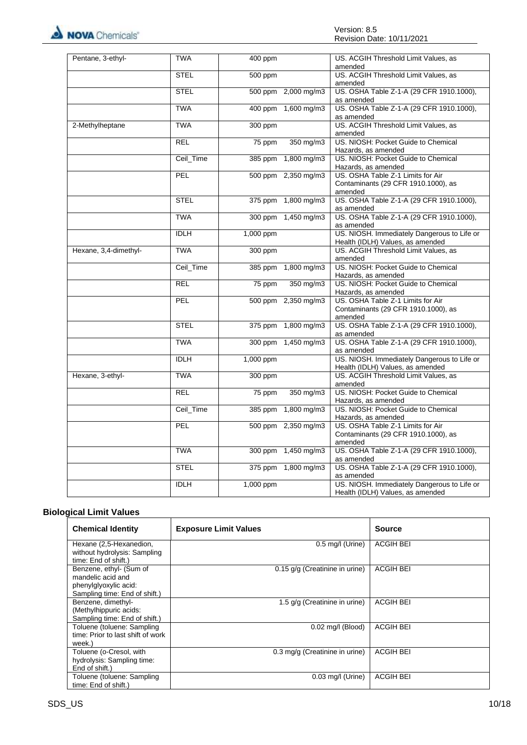

| Pentane, 3-ethyl-     | <b>TWA</b>  | 400 ppm   |                     | US. ACGIH Threshold Limit Values, as<br>amended                                     |
|-----------------------|-------------|-----------|---------------------|-------------------------------------------------------------------------------------|
|                       | <b>STEL</b> | 500 ppm   |                     | US. ACGIH Threshold Limit Values, as<br>amended                                     |
|                       | <b>STEL</b> |           | 500 ppm 2,000 mg/m3 | US. OSHA Table Z-1-A (29 CFR 1910.1000),<br>as amended                              |
|                       | <b>TWA</b>  |           | 400 ppm 1,600 mg/m3 | US. OSHA Table Z-1-A (29 CFR 1910.1000),<br>as amended                              |
| 2-Methylheptane       | <b>TWA</b>  | 300 ppm   |                     | US. ACGIH Threshold Limit Values, as<br>amended                                     |
|                       | <b>REL</b>  | 75 ppm    | 350 mg/m3           | US. NIOSH: Pocket Guide to Chemical<br>Hazards, as amended                          |
|                       | Ceil_Time   |           | 385 ppm 1,800 mg/m3 | US. NIOSH: Pocket Guide to Chemical<br>Hazards, as amended                          |
|                       | PEL         |           | 500 ppm 2,350 mg/m3 | US. OSHA Table Z-1 Limits for Air<br>Contaminants (29 CFR 1910.1000), as<br>amended |
|                       | <b>STEL</b> |           | 375 ppm 1,800 mg/m3 | US. OSHA Table Z-1-A (29 CFR 1910.1000),<br>as amended                              |
|                       | <b>TWA</b>  |           | 300 ppm 1,450 mg/m3 | US. OSHA Table Z-1-A (29 CFR 1910.1000),<br>as amended                              |
|                       | <b>IDLH</b> | 1,000 ppm |                     | US. NIOSH. Immediately Dangerous to Life or<br>Health (IDLH) Values, as amended     |
| Hexane, 3,4-dimethyl- | <b>TWA</b>  | 300 ppm   |                     | US. ACGIH Threshold Limit Values, as<br>amended                                     |
|                       | Ceil_Time   | 385 ppm   | 1,800 mg/m3         | US. NIOSH: Pocket Guide to Chemical<br>Hazards, as amended                          |
|                       | <b>REL</b>  | 75 ppm    | 350 mg/m3           | US. NIOSH: Pocket Guide to Chemical<br>Hazards, as amended                          |
|                       | <b>PEL</b>  |           | 500 ppm 2,350 mg/m3 | US. OSHA Table Z-1 Limits for Air<br>Contaminants (29 CFR 1910.1000), as<br>amended |
|                       | <b>STEL</b> |           | 375 ppm 1,800 mg/m3 | US. OSHA Table Z-1-A (29 CFR 1910.1000),<br>as amended                              |
|                       | <b>TWA</b>  | 300 ppm   | 1,450 mg/m3         | US. OSHA Table Z-1-A (29 CFR 1910.1000),<br>as amended                              |
|                       | <b>IDLH</b> | 1,000 ppm |                     | US. NIOSH. Immediately Dangerous to Life or<br>Health (IDLH) Values, as amended     |
| Hexane, 3-ethyl-      | <b>TWA</b>  | 300 ppm   |                     | US. ACGIH Threshold Limit Values, as<br>amended                                     |
|                       | <b>REL</b>  | 75 ppm    | 350 mg/m3           | US. NIOSH: Pocket Guide to Chemical<br>Hazards, as amended                          |
|                       | Ceil_Time   | $385$ ppm | 1,800 mg/m3         | US. NIOSH: Pocket Guide to Chemical<br>Hazards, as amended                          |
|                       | PEL         |           | 500 ppm 2,350 mg/m3 | US. OSHA Table Z-1 Limits for Air<br>Contaminants (29 CFR 1910.1000), as<br>amended |
|                       | <b>TWA</b>  |           | 300 ppm 1,450 mg/m3 | US. OSHA Table Z-1-A (29 CFR 1910.1000),<br>as amended                              |
|                       | <b>STEL</b> |           | 375 ppm 1,800 mg/m3 | US. OSHA Table Z-1-A (29 CFR 1910.1000),<br>as amended                              |
|                       | <b>IDLH</b> | 1,000 ppm |                     | US. NIOSH. Immediately Dangerous to Life or<br>Health (IDLH) Values, as amended     |

# **Biological Limit Values**

| <b>Chemical Identity</b>                                                                               | <b>Exposure Limit Values</b>     | Source           |
|--------------------------------------------------------------------------------------------------------|----------------------------------|------------------|
| Hexane (2,5-Hexanedion,<br>without hydrolysis: Sampling<br>time: End of shift.)                        | $0.5 \text{ mg/l}$ (Urine)       | <b>ACGIH BEI</b> |
| Benzene, ethyl- (Sum of<br>mandelic acid and<br>phenylglyoxylic acid:<br>Sampling time: End of shift.) | $0.15$ g/g (Creatinine in urine) | <b>ACGIH BEI</b> |
| Benzene, dimethyl-<br>(Methylhippuric acids:<br>Sampling time: End of shift.)                          | 1.5 g/g (Creatinine in urine)    | <b>ACGIH BEI</b> |
| Toluene (toluene: Sampling<br>time: Prior to last shift of work<br>week.)                              | $0.02$ mg/l (Blood)              | <b>ACGIH BEI</b> |
| Toluene (o-Cresol, with<br>hydrolysis: Sampling time:<br>End of shift.)                                | 0.3 mg/g (Creatinine in urine)   | <b>ACGIH BEI</b> |
| Toluene (toluene: Sampling<br>time: End of shift.)                                                     | $0.03$ mg/l (Urine)              | <b>ACGIH BEI</b> |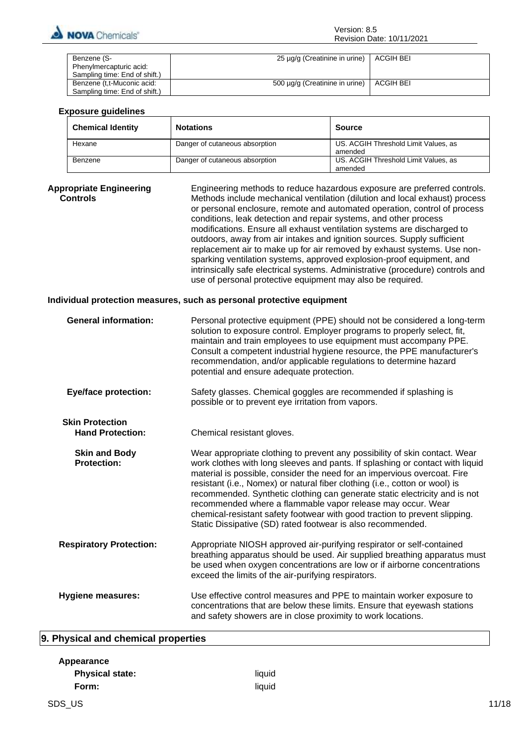

| Benzene (S-                   | 25 μg/g (Creatinine in urine)  | ACGIH BEI |
|-------------------------------|--------------------------------|-----------|
| Phenylmercapturic acid:       |                                |           |
| Sampling time: End of shift.) |                                |           |
| Benzene (t,t-Muconic acid:    | 500 µg/g (Creatinine in urine) | ACGIH BEI |
| Sampling time: End of shift.) |                                |           |

#### **Exposure guidelines**

| <b>Chemical Identity</b> | <b>Notations</b>               | Source                                          |
|--------------------------|--------------------------------|-------------------------------------------------|
| Hexane                   | Danger of cutaneous absorption | US. ACGIH Threshold Limit Values, as<br>amended |
| Benzene                  | Danger of cutaneous absorption | US. ACGIH Threshold Limit Values, as<br>amended |

**Appropriate Engineering Controls** Engineering methods to reduce hazardous exposure are preferred controls. Methods include mechanical ventilation (dilution and local exhaust) process or personal enclosure, remote and automated operation, control of process conditions, leak detection and repair systems, and other process modifications. Ensure all exhaust ventilation systems are discharged to outdoors, away from air intakes and ignition sources. Supply sufficient replacement air to make up for air removed by exhaust systems. Use nonsparking ventilation systems, approved explosion-proof equipment, and intrinsically safe electrical systems. Administrative (procedure) controls and use of personal protective equipment may also be required.

#### **Individual protection measures, such as personal protective equipment**

| <b>General information:</b>                       | Personal protective equipment (PPE) should not be considered a long-term<br>solution to exposure control. Employer programs to properly select, fit,<br>maintain and train employees to use equipment must accompany PPE.<br>Consult a competent industrial hygiene resource, the PPE manufacturer's<br>recommendation, and/or applicable regulations to determine hazard<br>potential and ensure adequate protection.                                                                                                                                                                                           |
|---------------------------------------------------|------------------------------------------------------------------------------------------------------------------------------------------------------------------------------------------------------------------------------------------------------------------------------------------------------------------------------------------------------------------------------------------------------------------------------------------------------------------------------------------------------------------------------------------------------------------------------------------------------------------|
| <b>Eye/face protection:</b>                       | Safety glasses. Chemical goggles are recommended if splashing is<br>possible or to prevent eye irritation from vapors.                                                                                                                                                                                                                                                                                                                                                                                                                                                                                           |
| <b>Skin Protection</b><br><b>Hand Protection:</b> | Chemical resistant gloves.                                                                                                                                                                                                                                                                                                                                                                                                                                                                                                                                                                                       |
| <b>Skin and Body</b><br><b>Protection:</b>        | Wear appropriate clothing to prevent any possibility of skin contact. Wear<br>work clothes with long sleeves and pants. If splashing or contact with liquid<br>material is possible, consider the need for an impervious overcoat. Fire<br>resistant (i.e., Nomex) or natural fiber clothing (i.e., cotton or wool) is<br>recommended. Synthetic clothing can generate static electricity and is not<br>recommended where a flammable vapor release may occur. Wear<br>chemical-resistant safety footwear with good traction to prevent slipping.<br>Static Dissipative (SD) rated footwear is also recommended. |
| <b>Respiratory Protection:</b>                    | Appropriate NIOSH approved air-purifying respirator or self-contained<br>breathing apparatus should be used. Air supplied breathing apparatus must<br>be used when oxygen concentrations are low or if airborne concentrations<br>exceed the limits of the air-purifying respirators.                                                                                                                                                                                                                                                                                                                            |
| Hygiene measures:                                 | Use effective control measures and PPE to maintain worker exposure to<br>concentrations that are below these limits. Ensure that eyewash stations<br>and safety showers are in close proximity to work locations.                                                                                                                                                                                                                                                                                                                                                                                                |

# **9. Physical and chemical properties**

| Appearance             |        |       |
|------------------------|--------|-------|
| <b>Physical state:</b> | liquid |       |
| Form:                  | liquid |       |
| SDS_US                 |        | 11/18 |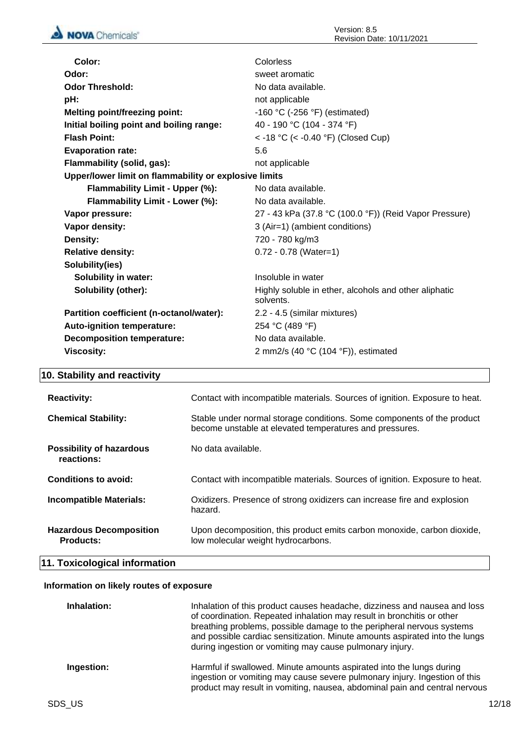| Color:                                                | Colorless                                                          |
|-------------------------------------------------------|--------------------------------------------------------------------|
| Odor:                                                 | sweet aromatic                                                     |
| <b>Odor Threshold:</b>                                | No data available.                                                 |
| pH:                                                   | not applicable                                                     |
| <b>Melting point/freezing point:</b>                  | -160 °C (-256 °F) (estimated)                                      |
| Initial boiling point and boiling range:              | 40 - 190 °C (104 - 374 °F)                                         |
| <b>Flash Point:</b>                                   | < -18 °C (< -0.40 °F) (Closed Cup)                                 |
| <b>Evaporation rate:</b>                              | 5.6                                                                |
| Flammability (solid, gas):                            | not applicable                                                     |
| Upper/lower limit on flammability or explosive limits |                                                                    |
| Flammability Limit - Upper (%):                       | No data available.                                                 |
| Flammability Limit - Lower (%):                       | No data available.                                                 |
| Vapor pressure:                                       | 27 - 43 kPa (37.8 °C (100.0 °F)) (Reid Vapor Pressure)             |
| Vapor density:                                        | 3 (Air=1) (ambient conditions)                                     |
| Density:                                              | 720 - 780 kg/m3                                                    |
| <b>Relative density:</b>                              | $0.72 - 0.78$ (Water=1)                                            |
| Solubility(ies)                                       |                                                                    |
| <b>Solubility in water:</b>                           | Insoluble in water                                                 |
| Solubility (other):                                   | Highly soluble in ether, alcohols and other aliphatic<br>solvents. |
| Partition coefficient (n-octanol/water):              | 2.2 - 4.5 (similar mixtures)                                       |
| Auto-ignition temperature:                            | 254 °C (489 °F)                                                    |
| <b>Decomposition temperature:</b>                     | No data available.                                                 |
| <b>Viscosity:</b>                                     | 2 mm2/s (40 $°C$ (104 $°F$ )), estimated                           |
|                                                       |                                                                    |

# **10. Stability and reactivity**

| <b>Reactivity:</b>                                 | Contact with incompatible materials. Sources of ignition. Exposure to heat.                                                       |
|----------------------------------------------------|-----------------------------------------------------------------------------------------------------------------------------------|
| <b>Chemical Stability:</b>                         | Stable under normal storage conditions. Some components of the product<br>become unstable at elevated temperatures and pressures. |
| <b>Possibility of hazardous</b><br>reactions:      | No data available.                                                                                                                |
| <b>Conditions to avoid:</b>                        | Contact with incompatible materials. Sources of ignition. Exposure to heat.                                                       |
| <b>Incompatible Materials:</b>                     | Oxidizers. Presence of strong oxidizers can increase fire and explosion<br>hazard.                                                |
| <b>Hazardous Decomposition</b><br><b>Products:</b> | Upon decomposition, this product emits carbon monoxide, carbon dioxide,<br>low molecular weight hydrocarbons.                     |

# **11. Toxicological information**

# **Information on likely routes of exposure**

| Inhalation: | Inhalation of this product causes headache, dizziness and nausea and loss<br>of coordination. Repeated inhalation may result in bronchitis or other<br>breathing problems, possible damage to the peripheral nervous systems<br>and possible cardiac sensitization. Minute amounts aspirated into the lungs<br>during ingestion or vomiting may cause pulmonary injury. |
|-------------|-------------------------------------------------------------------------------------------------------------------------------------------------------------------------------------------------------------------------------------------------------------------------------------------------------------------------------------------------------------------------|
| Ingestion:  | Harmful if swallowed. Minute amounts aspirated into the lungs during<br>ingestion or vomiting may cause severe pulmonary injury. Ingestion of this<br>product may result in vomiting, nausea, abdominal pain and central nervous                                                                                                                                        |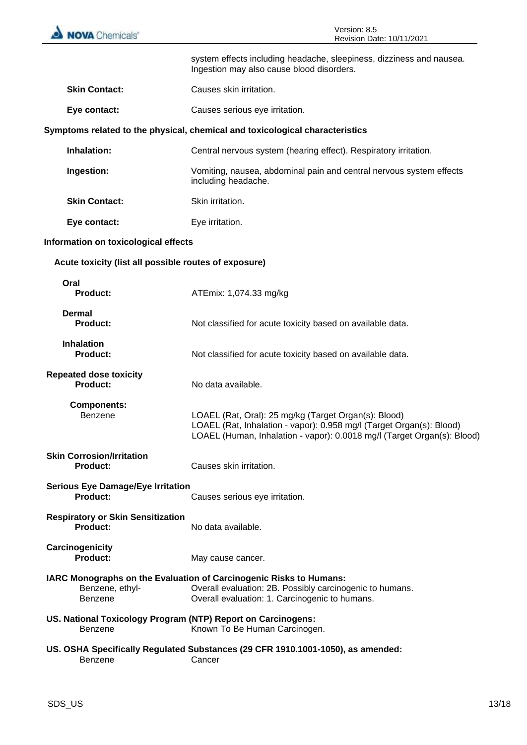| <b>NOVA</b> Chemicals®                                                  | Version: 8.5<br>Revision Date: 10/11/2021                                                                                                                                                               |  |
|-------------------------------------------------------------------------|---------------------------------------------------------------------------------------------------------------------------------------------------------------------------------------------------------|--|
|                                                                         | system effects including headache, sleepiness, dizziness and nausea.<br>Ingestion may also cause blood disorders.                                                                                       |  |
| <b>Skin Contact:</b>                                                    | Causes skin irritation.                                                                                                                                                                                 |  |
| Eye contact:                                                            | Causes serious eye irritation.                                                                                                                                                                          |  |
|                                                                         | Symptoms related to the physical, chemical and toxicological characteristics                                                                                                                            |  |
| Inhalation:                                                             | Central nervous system (hearing effect). Respiratory irritation.                                                                                                                                        |  |
| Ingestion:                                                              | Vomiting, nausea, abdominal pain and central nervous system effects<br>including headache.                                                                                                              |  |
| <b>Skin Contact:</b>                                                    | Skin irritation.                                                                                                                                                                                        |  |
| Eye contact:                                                            | Eye irritation.                                                                                                                                                                                         |  |
| Information on toxicological effects                                    |                                                                                                                                                                                                         |  |
| Acute toxicity (list all possible routes of exposure)                   |                                                                                                                                                                                                         |  |
| Oral<br><b>Product:</b>                                                 | ATEmix: 1,074.33 mg/kg                                                                                                                                                                                  |  |
| Dermal<br><b>Product:</b>                                               | Not classified for acute toxicity based on available data.                                                                                                                                              |  |
| <b>Inhalation</b><br><b>Product:</b>                                    | Not classified for acute toxicity based on available data.                                                                                                                                              |  |
| <b>Repeated dose toxicity</b><br><b>Product:</b>                        | No data available.                                                                                                                                                                                      |  |
| <b>Components:</b><br><b>Benzene</b>                                    | LOAEL (Rat, Oral): 25 mg/kg (Target Organ(s): Blood)<br>LOAEL (Rat, Inhalation - vapor): 0.958 mg/l (Target Organ(s): Blood)<br>LOAEL (Human, Inhalation - vapor): 0.0018 mg/l (Target Organ(s): Blood) |  |
| <b>Skin Corrosion/Irritation</b><br><b>Product:</b>                     | Causes skin irritation.                                                                                                                                                                                 |  |
| <b>Serious Eye Damage/Eye Irritation</b><br>Product:                    | Causes serious eye irritation.                                                                                                                                                                          |  |
| <b>Respiratory or Skin Sensitization</b><br><b>Product:</b>             | No data available.                                                                                                                                                                                      |  |
| Carcinogenicity<br><b>Product:</b>                                      | May cause cancer.                                                                                                                                                                                       |  |
| Benzene, ethyl-<br><b>Benzene</b>                                       | IARC Monographs on the Evaluation of Carcinogenic Risks to Humans:<br>Overall evaluation: 2B. Possibly carcinogenic to humans.<br>Overall evaluation: 1. Carcinogenic to humans.                        |  |
| US. National Toxicology Program (NTP) Report on Carcinogens:<br>Benzene | Known To Be Human Carcinogen.                                                                                                                                                                           |  |
| Benzene                                                                 | US. OSHA Specifically Regulated Substances (29 CFR 1910.1001-1050), as amended:<br>Cancer                                                                                                               |  |
|                                                                         |                                                                                                                                                                                                         |  |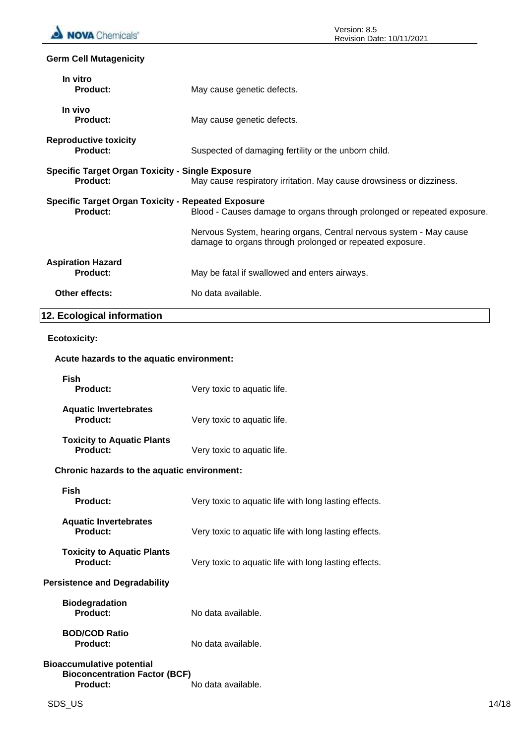# **Germ Cell Mutagenicity**

| In vitro<br><b>Product:</b>                                                  | May cause genetic defects.                                                                                                     |
|------------------------------------------------------------------------------|--------------------------------------------------------------------------------------------------------------------------------|
| In vivo<br>Product:                                                          | May cause genetic defects.                                                                                                     |
| <b>Reproductive toxicity</b><br><b>Product:</b>                              | Suspected of damaging fertility or the unborn child.                                                                           |
| <b>Specific Target Organ Toxicity - Single Exposure</b><br>Product:          | May cause respiratory irritation. May cause drowsiness or dizziness.                                                           |
| <b>Specific Target Organ Toxicity - Repeated Exposure</b><br><b>Product:</b> | Blood - Causes damage to organs through prolonged or repeated exposure.                                                        |
|                                                                              | Nervous System, hearing organs, Central nervous system - May cause<br>damage to organs through prolonged or repeated exposure. |
| <b>Aspiration Hazard</b><br><b>Product:</b>                                  | May be fatal if swallowed and enters airways.                                                                                  |
| <b>Other effects:</b>                                                        | No data available.                                                                                                             |
| 12. Ecological information                                                   |                                                                                                                                |

# **Ecotoxicity:**

# **Acute hazards to the aquatic environment:**

| <b>Fish</b>                                                                                 |                                                       |
|---------------------------------------------------------------------------------------------|-------------------------------------------------------|
| Product:                                                                                    | Very toxic to aquatic life.                           |
| <b>Aquatic Invertebrates</b><br><b>Product:</b>                                             | Very toxic to aquatic life.                           |
| <b>Toxicity to Aquatic Plants</b><br>Product:                                               | Very toxic to aquatic life.                           |
| Chronic hazards to the aquatic environment:                                                 |                                                       |
| Fish<br>Product:                                                                            | Very toxic to aquatic life with long lasting effects. |
| <b>Aquatic Invertebrates</b><br>Product:                                                    | Very toxic to aquatic life with long lasting effects. |
| <b>Toxicity to Aquatic Plants</b><br>Product:                                               | Very toxic to aquatic life with long lasting effects. |
| <b>Persistence and Degradability</b>                                                        |                                                       |
| <b>Biodegradation</b><br>Product:                                                           | No data available.                                    |
| <b>BOD/COD Ratio</b><br><b>Product:</b>                                                     | No data available.                                    |
| <b>Bioaccumulative potential</b><br><b>Bioconcentration Factor (BCF)</b><br><b>Product:</b> | No data available.                                    |
|                                                                                             |                                                       |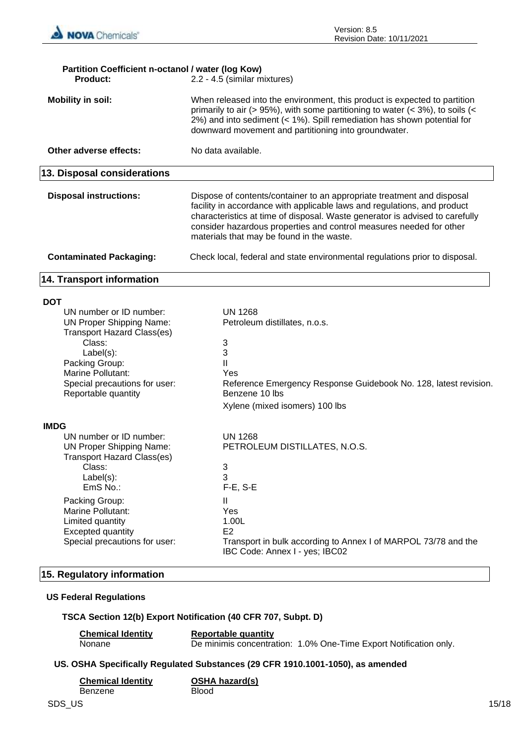

| Partition Coefficient n-octanol / water (log Kow)<br>Product:                                                                                                                                                                                                             | 2.2 - 4.5 (similar mixtures)                                                                                                                                                                                                                                                                                                                           |  |
|---------------------------------------------------------------------------------------------------------------------------------------------------------------------------------------------------------------------------------------------------------------------------|--------------------------------------------------------------------------------------------------------------------------------------------------------------------------------------------------------------------------------------------------------------------------------------------------------------------------------------------------------|--|
| <b>Mobility in soil:</b>                                                                                                                                                                                                                                                  | When released into the environment, this product is expected to partition<br>primarily to air (> 95%), with some partitioning to water (< 3%), to soils (<<br>2%) and into sediment (< 1%). Spill remediation has shown potential for<br>downward movement and partitioning into groundwater.                                                          |  |
| Other adverse effects:                                                                                                                                                                                                                                                    | No data available.                                                                                                                                                                                                                                                                                                                                     |  |
| 13. Disposal considerations                                                                                                                                                                                                                                               |                                                                                                                                                                                                                                                                                                                                                        |  |
| <b>Disposal instructions:</b>                                                                                                                                                                                                                                             | Dispose of contents/container to an appropriate treatment and disposal<br>facility in accordance with applicable laws and regulations, and product<br>characteristics at time of disposal. Waste generator is advised to carefully<br>consider hazardous properties and control measures needed for other<br>materials that may be found in the waste. |  |
| <b>Contaminated Packaging:</b>                                                                                                                                                                                                                                            | Check local, federal and state environmental regulations prior to disposal.                                                                                                                                                                                                                                                                            |  |
| <b>14. Transport information</b>                                                                                                                                                                                                                                          |                                                                                                                                                                                                                                                                                                                                                        |  |
| <b>DOT</b><br>UN number or ID number:<br><b>UN Proper Shipping Name:</b><br><b>Transport Hazard Class(es)</b><br>Class:<br>Label(s):<br>Packing Group:<br>Marine Pollutant:<br>Special precautions for user:<br>Reportable quantity                                       | <b>UN 1268</b><br>Petroleum distillates, n.o.s.<br>3<br>3<br>$\mathbf{II}$<br>Yes<br>Reference Emergency Response Guidebook No. 128, latest revision.<br>Benzene 10 lbs<br>Xylene (mixed isomers) 100 lbs                                                                                                                                              |  |
| <b>IMDG</b><br>UN number or ID number:<br><b>UN Proper Shipping Name:</b><br><b>Transport Hazard Class(es)</b><br>Class:<br>Label(s):<br>EmS No.:<br>Packing Group:<br>Marine Pollutant:<br>Limited quantity<br><b>Excepted quantity</b><br>Special precautions for user: | <b>UN 1268</b><br>PETROLEUM DISTILLATES, N.O.S.<br>3<br>3<br>$F-E$ , S-E<br>Ш<br>Yes<br>1.00L<br>E <sub>2</sub><br>Transport in bulk according to Annex I of MARPOL 73/78 and the<br>IBC Code: Annex I - yes; IBC02                                                                                                                                    |  |

# **15. Regulatory information**

# **US Federal Regulations**

# **TSCA Section 12(b) Export Notification (40 CFR 707, Subpt. D)**

| <b>Chemical Identity</b> | <b>Reportable quantity</b> |                                                                   |
|--------------------------|----------------------------|-------------------------------------------------------------------|
| Nonane                   |                            | De minimis concentration: 1.0% One-Time Export Notification only. |

# **US. OSHA Specifically Regulated Substances (29 CFR 1910.1001-1050), as amended**

| <b>Chemical Identity</b> | <b>OSHA hazard(s)</b> |
|--------------------------|-----------------------|
| Benzene                  | <b>Blood</b>          |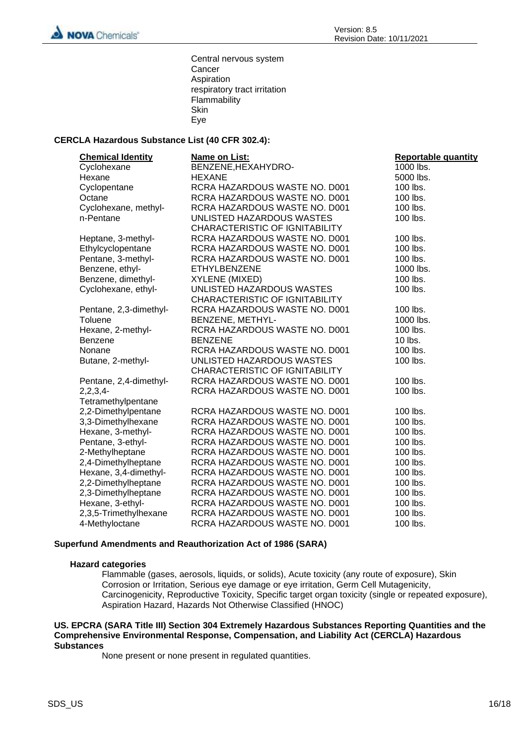

Central nervous system **Cancer** Aspiration respiratory tract irritation Flammability Skin Eye

# **CERCLA Hazardous Substance List (40 CFR 302.4):**

| <b>Chemical Identity</b> | Name on List:                  | <b>Reportable quantity</b> |
|--------------------------|--------------------------------|----------------------------|
| Cyclohexane              | BENZENE, HEXAHYDRO-            | 1000 lbs.                  |
| Hexane                   | <b>HEXANE</b>                  | 5000 lbs.                  |
| Cyclopentane             | RCRA HAZARDOUS WASTE NO. D001  | 100 lbs.                   |
| Octane                   | RCRA HAZARDOUS WASTE NO. D001  | 100 lbs.                   |
| Cyclohexane, methyl-     | RCRA HAZARDOUS WASTE NO. D001  | 100 lbs.                   |
| n-Pentane                | UNLISTED HAZARDOUS WASTES      | 100 lbs.                   |
|                          | CHARACTERISTIC OF IGNITABILITY |                            |
| Heptane, 3-methyl-       | RCRA HAZARDOUS WASTE NO. D001  | 100 lbs.                   |
| Ethylcyclopentane        | RCRA HAZARDOUS WASTE NO. D001  | 100 lbs.                   |
| Pentane, 3-methyl-       | RCRA HAZARDOUS WASTE NO. D001  | 100 lbs.                   |
| Benzene, ethyl-          | <b>ETHYLBENZENE</b>            | 1000 lbs.                  |
| Benzene, dimethyl-       | XYLENE (MIXED)                 | 100 lbs.                   |
| Cyclohexane, ethyl-      | UNLISTED HAZARDOUS WASTES      | 100 lbs.                   |
|                          | CHARACTERISTIC OF IGNITABILITY |                            |
| Pentane, 2,3-dimethyl-   | RCRA HAZARDOUS WASTE NO. D001  | 100 lbs.                   |
| <b>Toluene</b>           | BENZENE, METHYL-               | 1000 lbs.                  |
| Hexane, 2-methyl-        | RCRA HAZARDOUS WASTE NO. D001  | 100 lbs.                   |
| <b>Benzene</b>           | <b>BENZENE</b>                 | 10 lbs.                    |
| Nonane                   | RCRA HAZARDOUS WASTE NO. D001  | 100 lbs.                   |
| Butane, 2-methyl-        | UNLISTED HAZARDOUS WASTES      | 100 lbs.                   |
|                          | CHARACTERISTIC OF IGNITABILITY |                            |
| Pentane, 2,4-dimethyl-   | RCRA HAZARDOUS WASTE NO. D001  | 100 lbs.                   |
| $2,2,3,4-$               | RCRA HAZARDOUS WASTE NO. D001  | 100 lbs.                   |
| Tetramethylpentane       |                                |                            |
| 2,2-Dimethylpentane      | RCRA HAZARDOUS WASTE NO. D001  | 100 lbs.                   |
| 3,3-Dimethylhexane       | RCRA HAZARDOUS WASTE NO. D001  | 100 lbs.                   |
| Hexane, 3-methyl-        | RCRA HAZARDOUS WASTE NO. D001  | 100 lbs.                   |
| Pentane, 3-ethyl-        | RCRA HAZARDOUS WASTE NO. D001  | 100 lbs.                   |
| 2-Methylheptane          | RCRA HAZARDOUS WASTE NO. D001  | 100 lbs.                   |
| 2,4-Dimethylheptane      | RCRA HAZARDOUS WASTE NO. D001  | 100 lbs.                   |
| Hexane, 3,4-dimethyl-    | RCRA HAZARDOUS WASTE NO. D001  | 100 lbs.                   |
| 2,2-Dimethylheptane      | RCRA HAZARDOUS WASTE NO. D001  | 100 lbs.                   |
| 2,3-Dimethylheptane      | RCRA HAZARDOUS WASTE NO. D001  | 100 lbs.                   |
| Hexane, 3-ethyl-         | RCRA HAZARDOUS WASTE NO. D001  | 100 lbs.                   |
| 2,3,5-Trimethylhexane    | RCRA HAZARDOUS WASTE NO. D001  | 100 lbs.                   |
| 4-Methyloctane           | RCRA HAZARDOUS WASTE NO. D001  | 100 lbs.                   |

#### **Superfund Amendments and Reauthorization Act of 1986 (SARA)**

#### **Hazard categories**

Flammable (gases, aerosols, liquids, or solids), Acute toxicity (any route of exposure), Skin Corrosion or Irritation, Serious eye damage or eye irritation, Germ Cell Mutagenicity, Carcinogenicity, Reproductive Toxicity, Specific target organ toxicity (single or repeated exposure), Aspiration Hazard, Hazards Not Otherwise Classified (HNOC)

#### **US. EPCRA (SARA Title III) Section 304 Extremely Hazardous Substances Reporting Quantities and the Comprehensive Environmental Response, Compensation, and Liability Act (CERCLA) Hazardous Substances**

None present or none present in regulated quantities.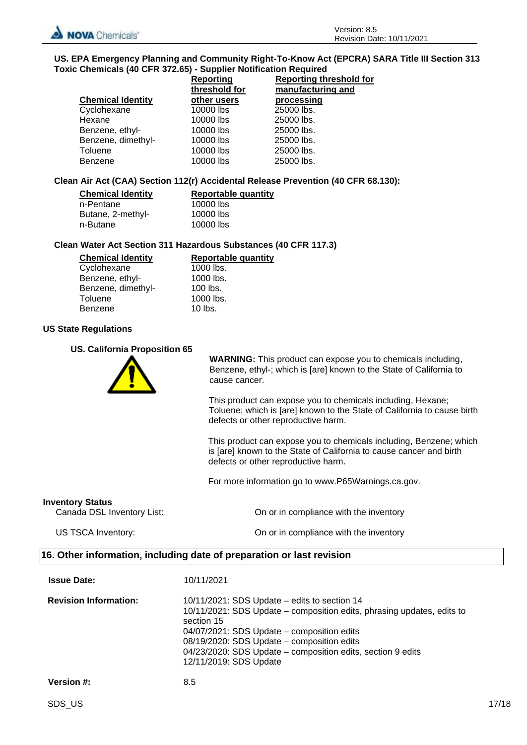

#### **US. EPA Emergency Planning and Community Right-To-Know Act (EPCRA) SARA Title III Section 313 Toxic Chemicals (40 CFR 372.65) - Supplier Notification Required**

|                          | <b>Reporting</b> | <b>Reporting threshold for</b> |  |
|--------------------------|------------------|--------------------------------|--|
|                          | threshold for    | manufacturing and              |  |
| <b>Chemical Identity</b> | other users      | processing                     |  |
| Cyclohexane              | 10000 lbs        | 25000 lbs.                     |  |
| Hexane                   | 10000 lbs        | 25000 lbs.                     |  |
| Benzene, ethyl-          | 10000 lbs        | 25000 lbs.                     |  |
| Benzene, dimethyl-       | 10000 lbs        | 25000 lbs.                     |  |
| Toluene                  | 10000 lbs        | 25000 lbs.                     |  |
| Benzene                  | 10000 lbs        | 25000 lbs.                     |  |

## **Clean Air Act (CAA) Section 112(r) Accidental Release Prevention (40 CFR 68.130):**

| <b>Chemical Identity</b> | <b>Reportable quantity</b> |
|--------------------------|----------------------------|
| n-Pentane                | 10000 lbs                  |
| Butane, 2-methyl-        | 10000 lbs                  |
| n-Butane                 | 10000 lbs                  |

# **Clean Water Act Section 311 Hazardous Substances (40 CFR 117.3)**

| <b>Chemical Identity</b> | Reportable quantity |
|--------------------------|---------------------|
| Cyclohexane              | 1000 lbs.           |
| Benzene, ethyl-          | 1000 lbs.           |
| Benzene, dimethyl-       | $100$ lbs.          |
| Toluene                  | 1000 lbs.           |
| <b>Benzene</b>           | $10$ lbs.           |

# **US State Regulations**

#### **US. California Proposition 65**



**WARNING:** This product can expose you to chemicals including, Benzene, ethyl-; which is [are] known to the State of California to cause cancer.

This product can expose you to chemicals including, Hexane; Toluene; which is [are] known to the State of California to cause birth defects or other reproductive harm.

This product can expose you to chemicals including, Benzene; which is [are] known to the State of California to cause cancer and birth defects or other reproductive harm.

For more information go to www.P65Warnings.ca.gov.

#### **Inventory Status**

Canada DSL Inventory List: On or in compliance with the inventory

US TSCA Inventory: On or in compliance with the inventory

# **16. Other information, including date of preparation or last revision**

| <b>Issue Date:</b>           | 10/11/2021                                                                                                                                                                                                                                                                                                                |
|------------------------------|---------------------------------------------------------------------------------------------------------------------------------------------------------------------------------------------------------------------------------------------------------------------------------------------------------------------------|
| <b>Revision Information:</b> | 10/11/2021: SDS Update – edits to section 14<br>10/11/2021: SDS Update – composition edits, phrasing updates, edits to<br>section 15<br>04/07/2021: SDS Update – composition edits<br>08/19/2020: SDS Update - composition edits<br>04/23/2020: SDS Update – composition edits, section 9 edits<br>12/11/2019: SDS Update |
| <b>Version #:</b>            | 8.5                                                                                                                                                                                                                                                                                                                       |